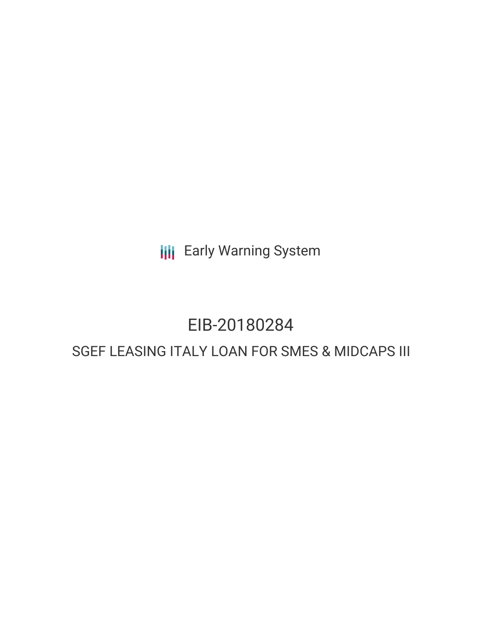**III** Early Warning System

# EIB-20180284

## SGEF LEASING ITALY LOAN FOR SMES & MIDCAPS III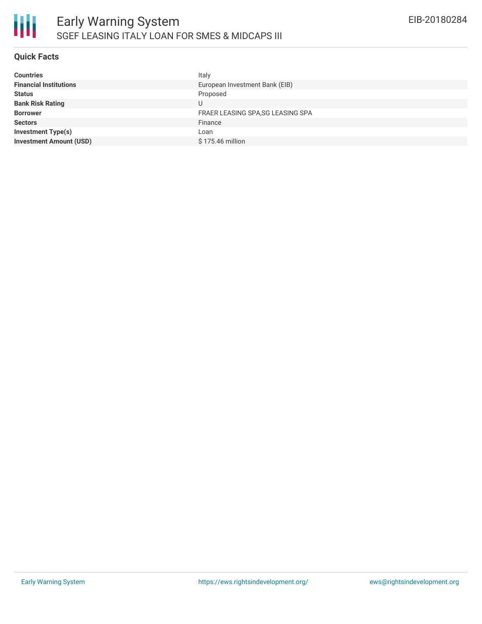

#### **Quick Facts**

| <b>Countries</b>               | Italy                             |
|--------------------------------|-----------------------------------|
| <b>Financial Institutions</b>  | European Investment Bank (EIB)    |
| <b>Status</b>                  | Proposed                          |
| <b>Bank Risk Rating</b>        |                                   |
| <b>Borrower</b>                | FRAER LEASING SPA, SG LEASING SPA |
| <b>Sectors</b>                 | Finance                           |
| <b>Investment Type(s)</b>      | Loan                              |
| <b>Investment Amount (USD)</b> | \$175.46 million                  |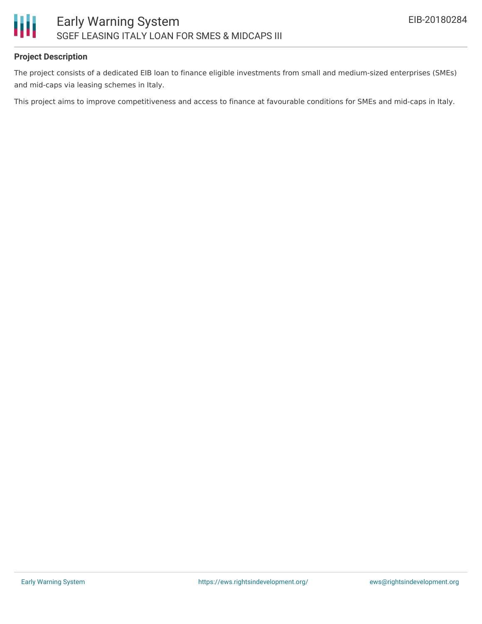

#### **Project Description**

The project consists of a dedicated EIB loan to finance eligible investments from small and medium-sized enterprises (SMEs) and mid-caps via leasing schemes in Italy.

This project aims to improve competitiveness and access to finance at favourable conditions for SMEs and mid-caps in Italy.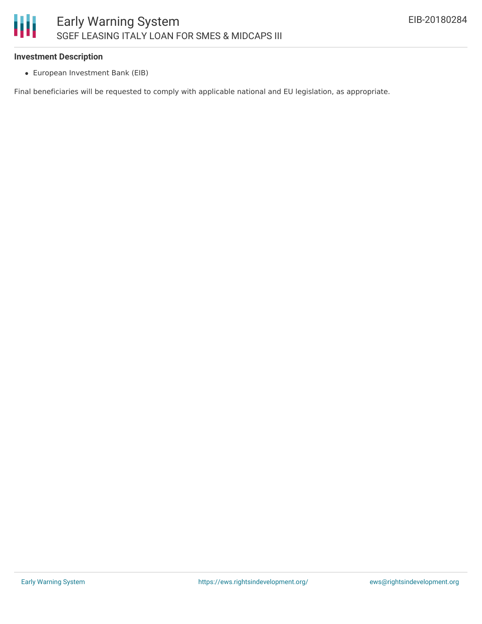#### **Investment Description**

European Investment Bank (EIB)

Final beneficiaries will be requested to comply with applicable national and EU legislation, as appropriate.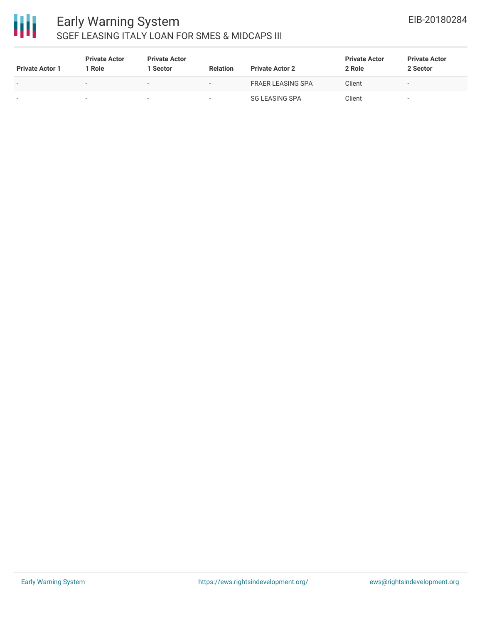

### Early Warning System SGEF LEASING ITALY LOAN FOR SMES & MIDCAPS III

| <b>Private Actor 1</b> | <b>Private Actor</b><br>  Role | <b>Private Actor</b><br>l Sector | <b>Relation</b>          | <b>Private Actor 2</b> | <b>Private Actor</b><br>2 Role | <b>Private Actor</b><br>2 Sector |
|------------------------|--------------------------------|----------------------------------|--------------------------|------------------------|--------------------------------|----------------------------------|
| . .                    | $\overline{\phantom{a}}$       | $\overline{\phantom{0}}$         | $\overline{\phantom{0}}$ | FRAER LEASING SPA      | Client                         | $\sim$                           |
| ۰                      |                                | $\overline{\phantom{a}}$         | $\overline{\phantom{a}}$ | SG LEASING SPA         | Client                         | $\overline{\phantom{a}}$         |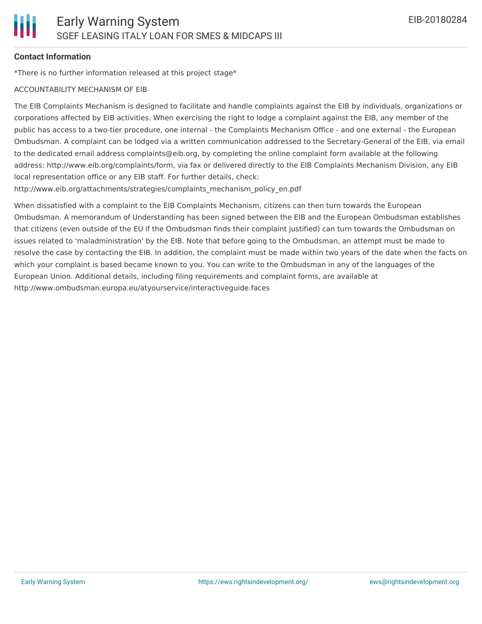#### **Contact Information**

\*There is no further information released at this project stage\*

#### ACCOUNTABILITY MECHANISM OF EIB

The EIB Complaints Mechanism is designed to facilitate and handle complaints against the EIB by individuals, organizations or corporations affected by EIB activities. When exercising the right to lodge a complaint against the EIB, any member of the public has access to a two-tier procedure, one internal - the Complaints Mechanism Office - and one external - the European Ombudsman. A complaint can be lodged via a written communication addressed to the Secretary-General of the EIB, via email to the dedicated email address complaints@eib.org, by completing the online complaint form available at the following address: http://www.eib.org/complaints/form, via fax or delivered directly to the EIB Complaints Mechanism Division, any EIB local representation office or any EIB staff. For further details, check:

http://www.eib.org/attachments/strategies/complaints\_mechanism\_policy\_en.pdf

When dissatisfied with a complaint to the EIB Complaints Mechanism, citizens can then turn towards the European Ombudsman. A memorandum of Understanding has been signed between the EIB and the European Ombudsman establishes that citizens (even outside of the EU if the Ombudsman finds their complaint justified) can turn towards the Ombudsman on issues related to 'maladministration' by the EIB. Note that before going to the Ombudsman, an attempt must be made to resolve the case by contacting the EIB. In addition, the complaint must be made within two years of the date when the facts on which your complaint is based became known to you. You can write to the Ombudsman in any of the languages of the European Union. Additional details, including filing requirements and complaint forms, are available at http://www.ombudsman.europa.eu/atyourservice/interactiveguide.faces